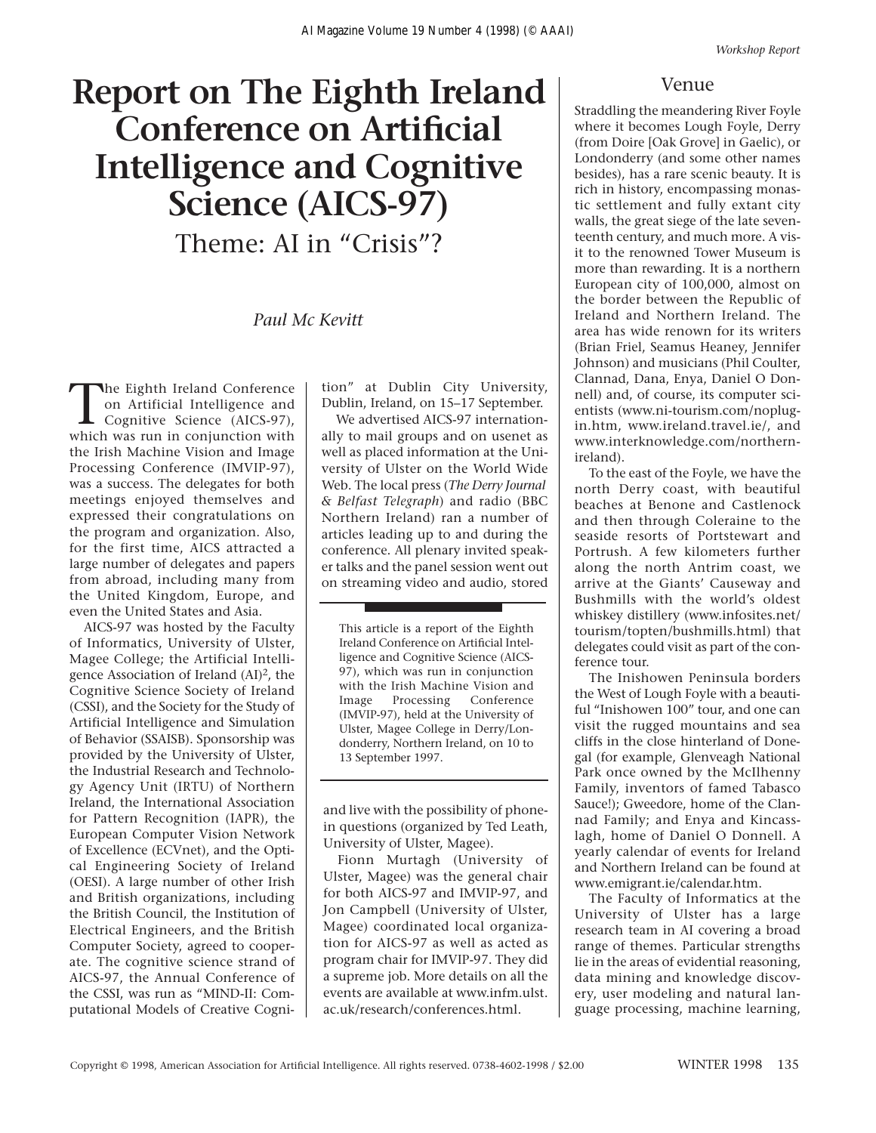# **Report on The Eighth Ireland Conference on Artificial Intelligence and Cognitive Science (AICS-97)**

Theme: AI in "Crisis"?

## *Paul Mc Kevitt*

The Eighth Ireland Conference<br>
on Artificial Intelligence and<br>
Cognitive Science (AICS-97),<br>
which was run in conjunction with on Artificial Intelligence and which was run in conjunction with the Irish Machine Vision and Image Processing Conference (IMVIP-97), was a success. The delegates for both meetings enjoyed themselves and expressed their congratulations on the program and organization. Also, for the first time, AICS attracted a large number of delegates and papers from abroad, including many from the United Kingdom, Europe, and even the United States and Asia.

AICS-97 was hosted by the Faculty of Informatics, University of Ulster, Magee College; the Artificial Intelligence Association of Ireland  $(Al)^2$ , the Cognitive Science Society of Ireland (CSSI), and the Society for the Study of Artificial Intelligence and Simulation of Behavior (SSAISB). Sponsorship was provided by the University of Ulster, the Industrial Research and Technology Agency Unit (IRTU) of Northern Ireland, the International Association for Pattern Recognition (IAPR), the European Computer Vision Network of Excellence (ECVnet), and the Optical Engineering Society of Ireland (OESI). A large number of other Irish and British organizations, including the British Council, the Institution of Electrical Engineers, and the British Computer Society, agreed to cooperate. The cognitive science strand of AICS-97, the Annual Conference of the CSSI, was run as "MIND-II: Computational Models of Creative Cognition" at Dublin City University, Dublin, Ireland, on 15–17 September.

We advertised AICS-97 internationally to mail groups and on usenet as well as placed information at the University of Ulster on the World Wide Web. The local press (*The Derry Journal & Belfast Telegraph*) and radio (BBC Northern Ireland) ran a number of articles leading up to and during the conference. All plenary invited speaker talks and the panel session went out on streaming video and audio, stored

This article is a report of the Eighth Ireland Conference on Artificial Intelligence and Cognitive Science (AICS-97), which was run in conjunction with the Irish Machine Vision and Image Processing Conference (IMVIP-97), held at the University of Ulster, Magee College in Derry/Londonderry, Northern Ireland, on 10 to 13 September 1997.

and live with the possibility of phonein questions (organized by Ted Leath, University of Ulster, Magee).

Fionn Murtagh (University of Ulster, Magee) was the general chair for both AICS-97 and IMVIP-97, and Jon Campbell (University of Ulster, Magee) coordinated local organization for AICS-97 as well as acted as program chair for IMVIP-97. They did a supreme job. More details on all the events are available at www.infm.ulst. ac.uk/research/conferences.html.

#### Venue

Straddling the meandering River Foyle where it becomes Lough Foyle, Derry (from Doire [Oak Grove] in Gaelic), or Londonderry (and some other names besides), has a rare scenic beauty. It is rich in history, encompassing monastic settlement and fully extant city walls, the great siege of the late seventeenth century, and much more. A visit to the renowned Tower Museum is more than rewarding. It is a northern European city of 100,000, almost on the border between the Republic of Ireland and Northern Ireland. The area has wide renown for its writers (Brian Friel, Seamus Heaney, Jennifer Johnson) and musicians (Phil Coulter, Clannad, Dana, Enya, Daniel O Donnell) and, of course, its computer scientists (www.ni-tourism.com/noplugin.htm, www.ireland.travel.ie/, and www.interknowledge.com/northernireland).

To the east of the Foyle, we have the north Derry coast, with beautiful beaches at Benone and Castlenock and then through Coleraine to the seaside resorts of Portstewart and Portrush. A few kilometers further along the north Antrim coast, we arrive at the Giants' Causeway and Bushmills with the world's oldest whiskey distillery (www.infosites.net/ tourism/topten/bushmills.html) that delegates could visit as part of the conference tour.

The Inishowen Peninsula borders the West of Lough Foyle with a beautiful "Inishowen 100" tour, and one can visit the rugged mountains and sea cliffs in the close hinterland of Donegal (for example, Glenveagh National Park once owned by the McIlhenny Family, inventors of famed Tabasco Sauce!); Gweedore, home of the Clannad Family; and Enya and Kincasslagh, home of Daniel O Donnell. A yearly calendar of events for Ireland and Northern Ireland can be found at www.emigrant.ie/calendar.htm.

The Faculty of Informatics at the University of Ulster has a large research team in AI covering a broad range of themes. Particular strengths lie in the areas of evidential reasoning, data mining and knowledge discovery, user modeling and natural language processing, machine learning,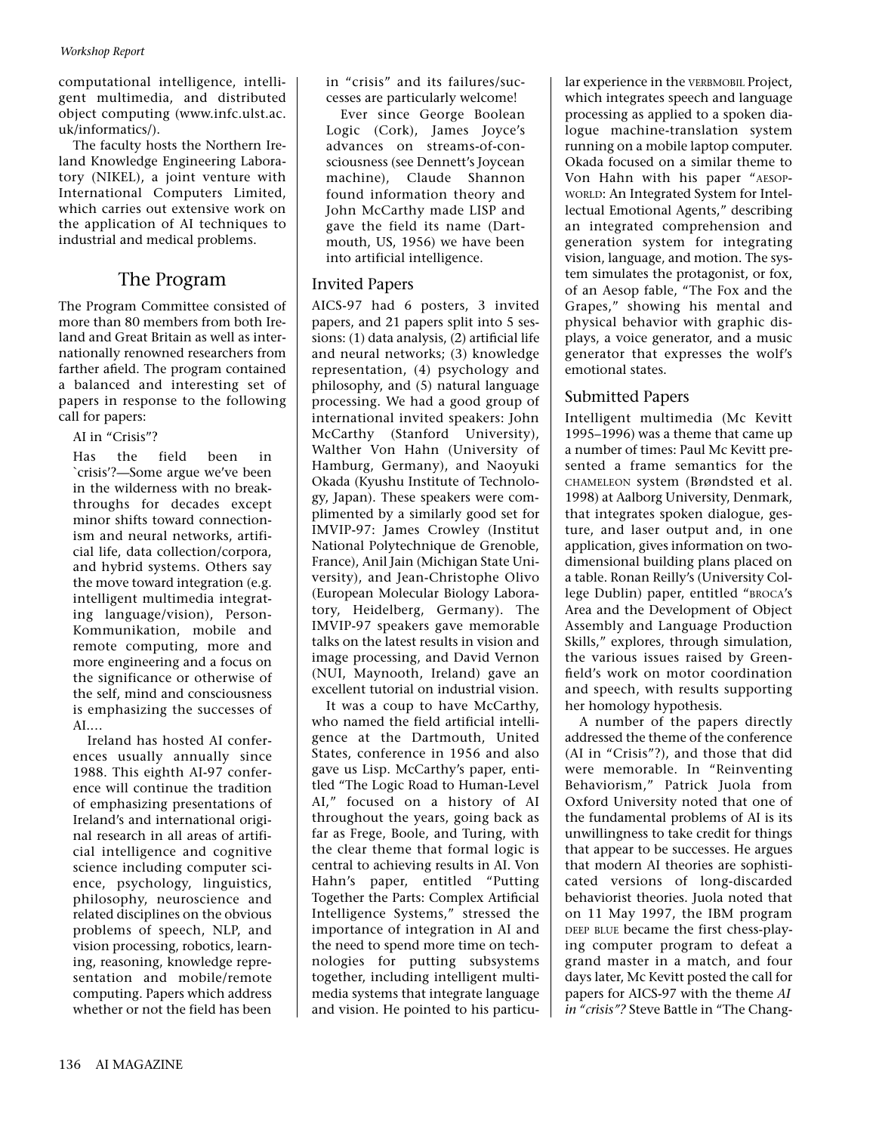computational intelligence, intelligent multimedia, and distributed object computing (www.infc.ulst.ac. uk/informatics/).

The faculty hosts the Northern Ireland Knowledge Engineering Laboratory (NIKEL), a joint venture with International Computers Limited, which carries out extensive work on the application of AI techniques to industrial and medical problems.

## The Program

The Program Committee consisted of more than 80 members from both Ireland and Great Britain as well as internationally renowned researchers from farther afield. The program contained a balanced and interesting set of papers in response to the following call for papers:

#### AI in "Crisis"?

Has the field been in `crisis'?—Some argue we've been in the wilderness with no breakthroughs for decades except minor shifts toward connectionism and neural networks, artificial life, data collection/corpora, and hybrid systems. Others say the move toward integration (e.g. intelligent multimedia integrating language/vision), Person-Kommunikation, mobile and remote computing, more and more engineering and a focus on the significance or otherwise of the self, mind and consciousness is emphasizing the successes of  $AI...$ 

Ireland has hosted AI conferences usually annually since 1988. This eighth AI-97 conference will continue the tradition of emphasizing presentations of Ireland's and international original research in all areas of artificial intelligence and cognitive science including computer science, psychology, linguistics, philosophy, neuroscience and related disciplines on the obvious problems of speech, NLP, and vision processing, robotics, learning, reasoning, knowledge representation and mobile/remote computing. Papers which address whether or not the field has been

in "crisis" and its failures/successes are particularly welcome!

Ever since George Boolean Logic (Cork), James Joyce's advances on streams-of-consciousness (see Dennett's Joycean machine), Claude Shannon found information theory and John McCarthy made LISP and gave the field its name (Dartmouth, US, 1956) we have been into artificial intelligence.

### Invited Papers

AICS-97 had 6 posters, 3 invited papers, and 21 papers split into 5 sessions: (1) data analysis, (2) artificial life and neural networks; (3) knowledge representation, (4) psychology and philosophy, and (5) natural language processing. We had a good group of international invited speakers: John McCarthy (Stanford University), Walther Von Hahn (University of Hamburg, Germany), and Naoyuki Okada (Kyushu Institute of Technology, Japan). These speakers were complimented by a similarly good set for IMVIP-97: James Crowley (Institut National Polytechnique de Grenoble, France), Anil Jain (Michigan State University), and Jean-Christophe Olivo (European Molecular Biology Laboratory, Heidelberg, Germany). The IMVIP-97 speakers gave memorable talks on the latest results in vision and image processing, and David Vernon (NUI, Maynooth, Ireland) gave an excellent tutorial on industrial vision.

It was a coup to have McCarthy, who named the field artificial intelligence at the Dartmouth, United States, conference in 1956 and also gave us Lisp. McCarthy's paper, entitled "The Logic Road to Human-Level AI," focused on a history of AI throughout the years, going back as far as Frege, Boole, and Turing, with the clear theme that formal logic is central to achieving results in AI. Von Hahn's paper, entitled "Putting Together the Parts: Complex Artificial Intelligence Systems," stressed the importance of integration in AI and the need to spend more time on technologies for putting subsystems together, including intelligent multimedia systems that integrate language and vision. He pointed to his particu-

lar experience in the VERBMOBIL Project, which integrates speech and language processing as applied to a spoken dialogue machine-translation system running on a mobile laptop computer. Okada focused on a similar theme to Von Hahn with his paper "AESOP-WORLD: An Integrated System for Intellectual Emotional Agents," describing an integrated comprehension and generation system for integrating vision, language, and motion. The system simulates the protagonist, or fox, of an Aesop fable, "The Fox and the Grapes," showing his mental and physical behavior with graphic displays, a voice generator, and a music generator that expresses the wolf's emotional states.

## Submitted Papers

Intelligent multimedia (Mc Kevitt 1995–1996) was a theme that came up a number of times: Paul Mc Kevitt presented a frame semantics for the CHAMELEON system (Brøndsted et al. 1998) at Aalborg University, Denmark, that integrates spoken dialogue, gesture, and laser output and, in one application, gives information on twodimensional building plans placed on a table. Ronan Reilly's (University College Dublin) paper, entitled "BROCA's Area and the Development of Object Assembly and Language Production Skills," explores, through simulation, the various issues raised by Greenfield's work on motor coordination and speech, with results supporting her homology hypothesis.

A number of the papers directly addressed the theme of the conference (AI in "Crisis"?), and those that did were memorable. In "Reinventing Behaviorism," Patrick Juola from Oxford University noted that one of the fundamental problems of AI is its unwillingness to take credit for things that appear to be successes. He argues that modern AI theories are sophisticated versions of long-discarded behaviorist theories. Juola noted that on 11 May 1997, the IBM program DEEP BLUE became the first chess-playing computer program to defeat a grand master in a match, and four days later, Mc Kevitt posted the call for papers for AICS-97 with the theme *AI in "crisis"?* Steve Battle in "The Chang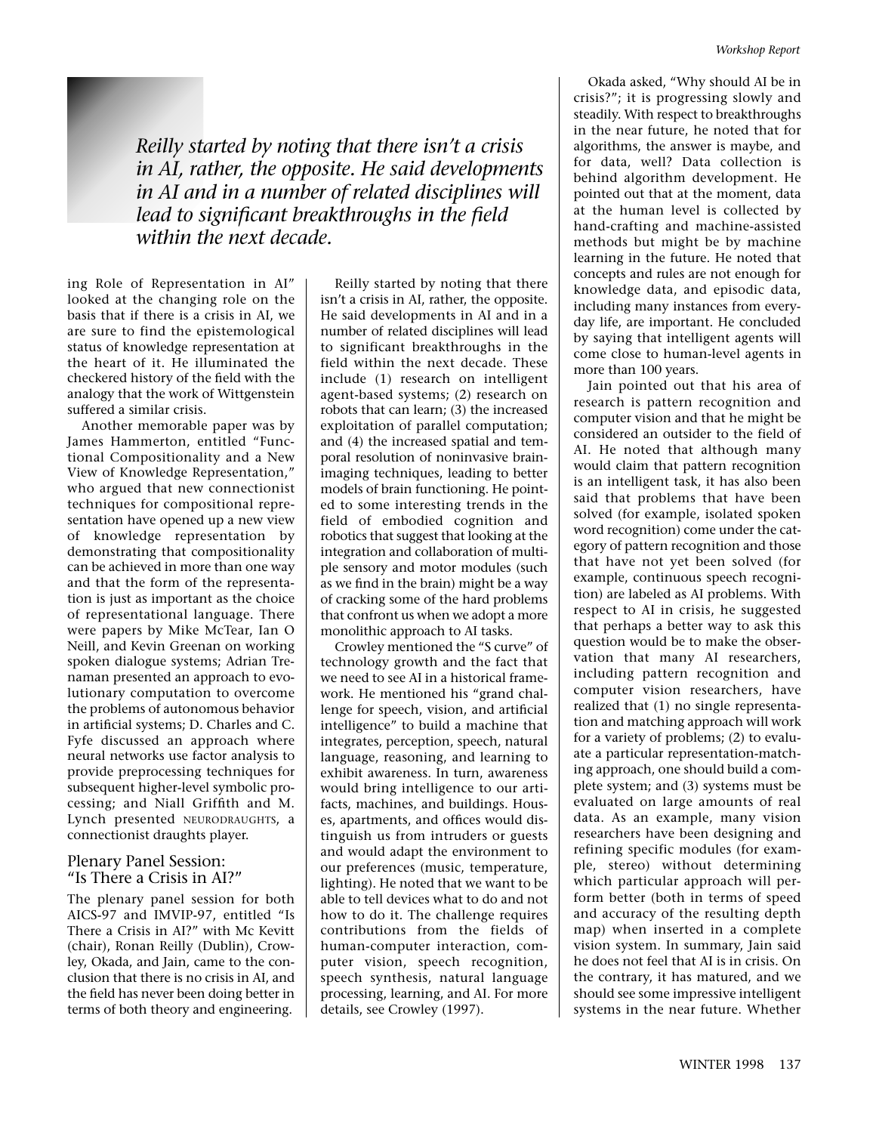*Reilly started by noting that there isn't a crisis in AI, rather, the opposite. He said developments in AI and in a number of related disciplines will lead to significant breakthroughs in the field within the next decade.* 

ing Role of Representation in AI" looked at the changing role on the basis that if there is a crisis in AI, we are sure to find the epistemological status of knowledge representation at the heart of it. He illuminated the checkered history of the field with the analogy that the work of Wittgenstein suffered a similar crisis.

Another memorable paper was by James Hammerton, entitled "Functional Compositionality and a New View of Knowledge Representation," who argued that new connectionist techniques for compositional representation have opened up a new view of knowledge representation by demonstrating that compositionality can be achieved in more than one way and that the form of the representation is just as important as the choice of representational language. There were papers by Mike McTear, Ian O Neill, and Kevin Greenan on working spoken dialogue systems; Adrian Trenaman presented an approach to evolutionary computation to overcome the problems of autonomous behavior in artificial systems; D. Charles and C. Fyfe discussed an approach where neural networks use factor analysis to provide preprocessing techniques for subsequent higher-level symbolic processing; and Niall Griffith and M. Lynch presented NEURODRAUGHTS, a connectionist draughts player.

#### Plenary Panel Session: "Is There a Crisis in AI?"

The plenary panel session for both AICS-97 and IMVIP-97, entitled "Is There a Crisis in AI?" with Mc Kevitt (chair), Ronan Reilly (Dublin), Crowley, Okada, and Jain, came to the conclusion that there is no crisis in AI, and the field has never been doing better in terms of both theory and engineering.

Reilly started by noting that there isn't a crisis in AI, rather, the opposite. He said developments in AI and in a number of related disciplines will lead to significant breakthroughs in the field within the next decade. These include (1) research on intelligent agent-based systems; (2) research on robots that can learn; (3) the increased exploitation of parallel computation; and (4) the increased spatial and temporal resolution of noninvasive brainimaging techniques, leading to better models of brain functioning. He pointed to some interesting trends in the field of embodied cognition and robotics that suggest that looking at the integration and collaboration of multiple sensory and motor modules (such as we find in the brain) might be a way of cracking some of the hard problems that confront us when we adopt a more monolithic approach to AI tasks.

Crowley mentioned the "S curve" of technology growth and the fact that we need to see AI in a historical framework. He mentioned his "grand challenge for speech, vision, and artificial intelligence" to build a machine that integrates, perception, speech, natural language, reasoning, and learning to exhibit awareness. In turn, awareness would bring intelligence to our artifacts, machines, and buildings. Houses, apartments, and offices would distinguish us from intruders or guests and would adapt the environment to our preferences (music, temperature, lighting). He noted that we want to be able to tell devices what to do and not how to do it. The challenge requires contributions from the fields of human-computer interaction, computer vision, speech recognition, speech synthesis, natural language processing, learning, and AI. For more details, see Crowley (1997).

Okada asked, "Why should AI be in crisis?"; it is progressing slowly and steadily. With respect to breakthroughs in the near future, he noted that for algorithms, the answer is maybe, and for data, well? Data collection is behind algorithm development. He pointed out that at the moment, data

at the human level is collected by hand-crafting and machine-assisted methods but might be by machine learning in the future. He noted that concepts and rules are not enough for knowledge data, and episodic data, including many instances from everyday life, are important. He concluded by saying that intelligent agents will come close to human-level agents in more than 100 years.

Jain pointed out that his area of research is pattern recognition and computer vision and that he might be considered an outsider to the field of AI. He noted that although many would claim that pattern recognition is an intelligent task, it has also been said that problems that have been solved (for example, isolated spoken word recognition) come under the category of pattern recognition and those that have not yet been solved (for example, continuous speech recognition) are labeled as AI problems. With respect to AI in crisis, he suggested that perhaps a better way to ask this question would be to make the observation that many AI researchers, including pattern recognition and computer vision researchers, have realized that (1) no single representation and matching approach will work for a variety of problems; (2) to evaluate a particular representation-matching approach, one should build a complete system; and (3) systems must be evaluated on large amounts of real data. As an example, many vision researchers have been designing and refining specific modules (for example, stereo) without determining which particular approach will perform better (both in terms of speed and accuracy of the resulting depth map) when inserted in a complete vision system. In summary, Jain said he does not feel that AI is in crisis. On the contrary, it has matured, and we should see some impressive intelligent systems in the near future. Whether